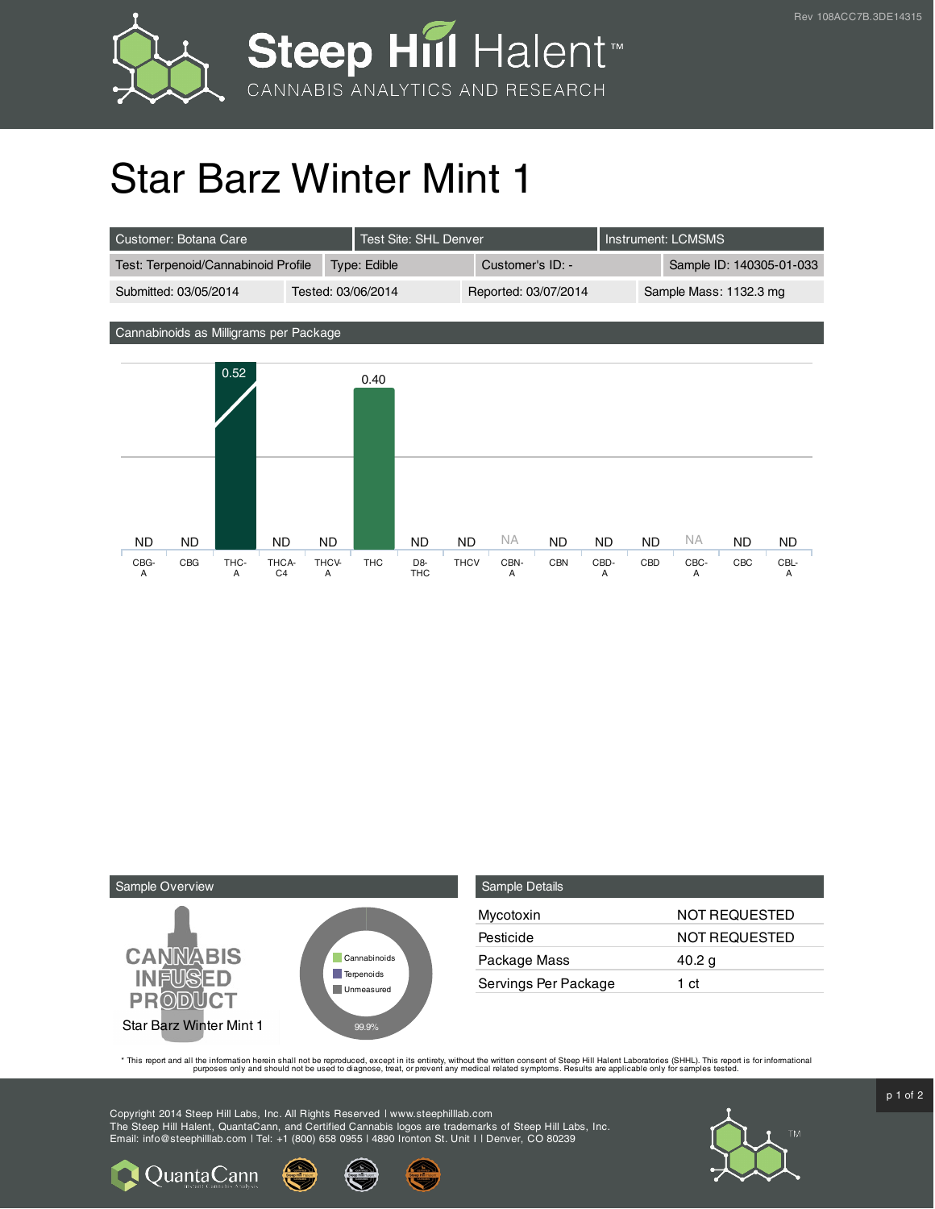

## Star Barz Winter Mint 1

| Customer: Botana Care               |                    |  | Test Site: SHL Denver |                  |  | Instrument: LCMSMS     |                          |
|-------------------------------------|--------------------|--|-----------------------|------------------|--|------------------------|--------------------------|
| Test: Terpenoid/Cannabinoid Profile |                    |  | Type: Edible          | Customer's ID: - |  |                        | Sample ID: 140305-01-033 |
| Submitted: 03/05/2014               | Tested: 03/06/2014 |  | Reported: 03/07/2014  |                  |  | Sample Mass: 1132.3 mg |                          |

Cannabinoids as Milligrams per Package





QuantaCann

| <b>Sample Details</b> |                      |
|-----------------------|----------------------|
| Mycotoxin             | NOT REQUESTED        |
| Pesticide             | <b>NOT REQUESTED</b> |
| Package Mass          | 40.2 g               |
| Servings Per Package  | 1 ct                 |

This report and all the information herein shall not be reporduced, except in its entirety, without the written consent of Steep Hill Halent Laboratories (SHHL). This report is for informational all the instance, treat, or

Copyright 2014 Steep Hill Labs, Inc. All Rights Reserved | www.steephilllab.com The Steep Hill Halent, QuantaCann, and Certified Cannabis logos are trademarks of Steep Hill Labs, Inc. Email: info@steephilllab.com | Tel: +1 (800) 658 0955 | 4890 Ironton St. Unit I | Denver, CO 80239